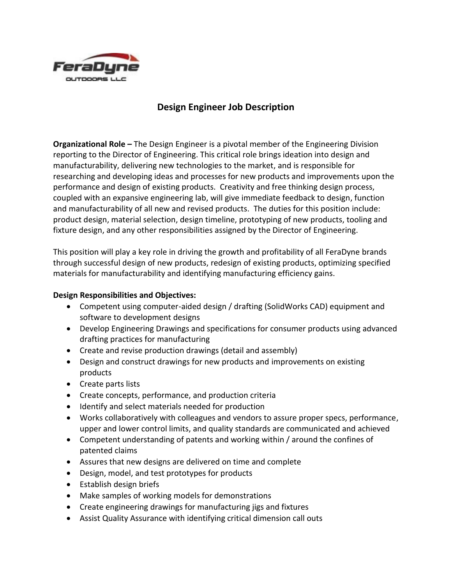

## **Design Engineer Job Description**

**Organizational Role –** The Design Engineer is a pivotal member of the Engineering Division reporting to the Director of Engineering. This critical role brings ideation into design and manufacturability, delivering new technologies to the market, and is responsible for researching and developing ideas and processes for new products and improvements upon the performance and design of existing products. Creativity and free thinking design process, coupled with an expansive engineering lab, will give immediate feedback to design, function and manufacturability of all new and revised products. The duties for this position include: product design, material selection, design timeline, prototyping of new products, tooling and fixture design, and any other responsibilities assigned by the Director of Engineering.

This position will play a key role in driving the growth and profitability of all FeraDyne brands through successful design of new products, redesign of existing products, optimizing specified materials for manufacturability and identifying manufacturing efficiency gains.

## **Design Responsibilities and Objectives:**

- Competent using computer-aided design / drafting (SolidWorks CAD) equipment and software to development designs
- Develop Engineering Drawings and specifications for consumer products using advanced drafting practices for manufacturing
- Create and revise production drawings (detail and assembly)
- Design and construct drawings for new products and improvements on existing products
- Create parts lists
- Create concepts, performance, and production criteria
- Identify and select materials needed for production
- Works collaboratively with colleagues and vendors to assure proper specs, performance, upper and lower control limits, and quality standards are communicated and achieved
- Competent understanding of patents and working within / around the confines of patented claims
- Assures that new designs are delivered on time and complete
- Design, model, and test prototypes for products
- Establish design briefs
- Make samples of working models for demonstrations
- Create engineering drawings for manufacturing jigs and fixtures
- Assist Quality Assurance with identifying critical dimension call outs